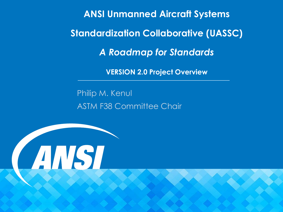**ANSI Unmanned Aircraft Systems Standardization Collaborative (UASSC)** *A Roadmap for Standards*

**VERSION 2.0 Project Overview**

Philip M. Kenul ASTM F38 Committee Chair

ANSI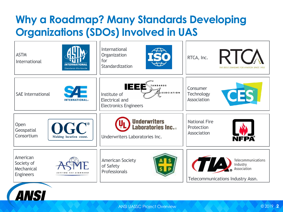American Society of Mechanical Engineers







### **Why a Roadmap? Many Standards Developing Organizations (SDOs) Involved in UAS** International R K **ASTM Organization** RTCA, Inc. for International **INTERNATIONAL Standardization** THE GOLD STANDARD FOR AVIATION SINCE 1935 Standards Worldwide IEEE **ANDARDS** Consumer  $SSOCIATION$ **Technology** SAE International Institute of Association Electrical and **INTERNATIONAL**® Electronics Engineers **Underwriters** National Fire **Open Laboratories Inc.**.. Protection **Geospatial** Association Consortium Making location count. Underwriters Laboratories Inc. NFPA Telecommunications American Society Industry of Safety Association Professionals Telecommunications Industry Assn.







ANSI UASSC Project Overview © 2019 **2**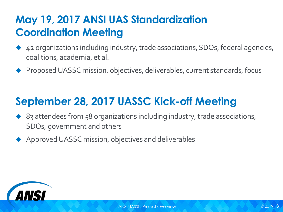# **May 19, 2017 ANSI UAS Standardization Coordination Meeting**

- ◆ 42 organizations including industry, trade associations, SDOs, federal agencies, coalitions, academia, et al.
- ◆ Proposed UASSC mission, objectives, deliverables, current standards, focus

# **September 28, 2017 UASSC Kick-off Meeting**

- ◆ 83 attendees from 58 organizations including industry, trade associations, SDOs, government and others
- ◆ Approved UASSC mission, objectives and deliverables



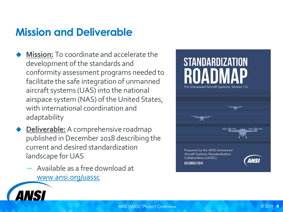# **Mission and Deliverable**

- **Mission:** To coordinate and accelerate the development of the standards and conformity assessment programs needed to facilitate the safe integration of unmanned aircraft systems (UAS) into the national airspace system (NAS) of the United States, with international coordination and adaptability
- **Deliverable:** A comprehensive roadmap published in December 2018 describing the current and desired standardization landscape for UAS
	- ─ Available as a free download at [www.ansi.org/uassc](http://www.ansi.org/uassc)



# **STANDARDIZATION** For Unmanned Aircraft Systems, Version 1.0

Prepared by the ANSI Unmanned Aircraft Systems Standardization Collaborative (UASSC) DECEMBER 2018

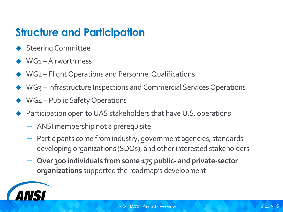# **Structure and Participation**

- ◆ Steering Committee
- ◆ WG1 Airworthiness
- WG2 Flight Operations and Personnel Qualifications
- WG3 Infrastructure Inspections and Commercial Services Operations
- WG4 Public Safety Operations
- Participation open to UAS stakeholders that have U.S. operations
	- ─ ANSI membership not a prerequisite
	- ─ Participants come from industry, government agencies, standards developing organizations (SDOs), and other interested stakeholders
	- ─ **Over 300 individuals from some 175 public- and private-sector organizations** supported the roadmap's development

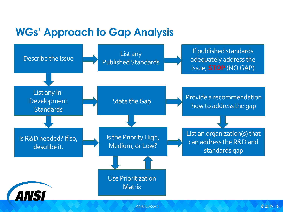# **WGs' Approach to Gap Analysis**

### If published standards adequately address the issue, **STOP** (NO GAP)

State the Gap **Provide a recommendation** how to address the gap



List an organization(s) that can address the R&D and standards gap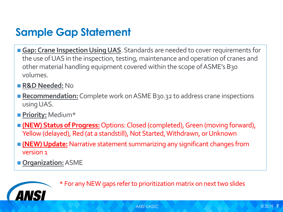# **Sample Gap Statement**

- Gap: Crane Inspection Using UAS. Standards are needed to cover requirements for the use of UAS in the inspection, testing, maintenance and operation of cranes and other material handling equipment covered within the scope of ASME's B30 volumes.
- **R&D Needed:** No
- Recommendation: Complete work on ASME B30.32 to address crane inspections using UAS.
- ◼ **Priority:** Medium\*
- **(NEW) Status of Progress:** Options: Closed (completed), Green (moving forward), Yellow (delayed), Red (at a standstill), Not Started, Withdrawn, or Unknown
- **(NEW) Update:** Narrative statement summarizing any significant changes from version 1
- **Organization:** ASME



\* For any NEW gaps refer to prioritization matrix on next two slides

© 2019 **7**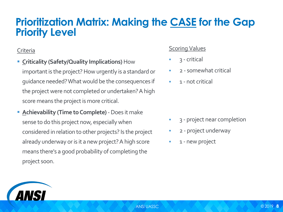## **Prioritization Matrix: Making the CASE for the Gap Priority Level**

### **Criteria**

- **Example 2 Figure 1 Criticality (Safety/Quality Implications)** How important is the project? How urgently is a standard or guidance needed? What would be the consequences if the project were not completed or undertaken? A high score means the project is more critical.
- **Example:** Achievability (Time to Complete) Does it make sense to do this project now, especially when considered in relation to other projects? Is the project already underway or is it a new project? A high score means there's a good probability of completing the project soon.





- **Scoring Values** 
	- 3 critical
	- 2 somewhat critical
- **•** 1 not critical

- 3 project near completion
- 2 project underway
- 1 new project

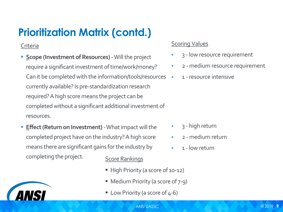# **Prioritization Matrix (contd.)**

**Criteria** 

- **Example 12 Scope (Investment of Resources) Will the project** require a significant investment of time/work/money? Can it be completed with the information/tools/resources currently available? Is pre-standardization research required? A high score means the project can be completed without a significant additional investment of resources.
- **Effect (Return on Investment)** What impact will the completed project have on the industry? A high score means there are significant gains for the industry by completing the project. Score Rankings
	- **High Priority (a score of 10-12)**
	- Medium Priority (a score of 7-9)
	- Low Priority (a score of 4-6)





### **Scoring Values**

- **B** 3 low resource requirement
- 2 medium resource requirement
- **EXEC** 1 resource intensive

- 3 high return
- **•** 2 medium return
- **•** 1 low return



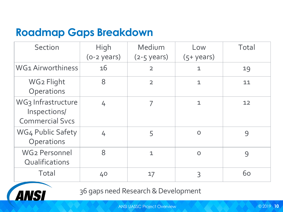# **Roadmap Gaps Breakdown**

| Section                                                      | High<br>$(o-z \text{ years})$ | Medium<br>$(2-5 \text{ years})$ | Low<br>$(5 + \gamma ears)$ | Total |
|--------------------------------------------------------------|-------------------------------|---------------------------------|----------------------------|-------|
| WG1 Airworthiness                                            | 16                            | $\overline{2}$                  |                            | 19    |
| WG2 Flight<br>Operations                                     |                               | $\overline{2}$                  |                            | 11    |
| WG3 Infrastructure<br>Inspections/<br><b>Commercial Svcs</b> |                               |                                 |                            | 12    |
| <b>WG4 Public Safety</b><br>Operations                       |                               |                                 |                            |       |
| <b>WG2 Personnel</b><br>Qualifications                       |                               |                                 |                            |       |
| Total                                                        | 40                            | 17                              |                            | 60    |



36 gaps need Research & Development

ANSI UASSC Project Overview © 2019 **10**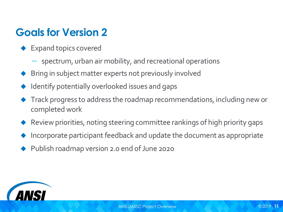# **Goals for Version 2**

- ◆ Expand topics covered
	- ─ spectrum, urban air mobility, and recreational operations
- ◆ Bring in subject matter experts not previously involved
- Identify potentially overlooked issues and gaps
- Track progress to address the roadmap recommendations, including new or completed work
- Review priorities, noting steering committee rankings of high priority gaps
- Incorporate participant feedback and update the document as appropriate
- Publish roadmap version 2.0 end of June 2020

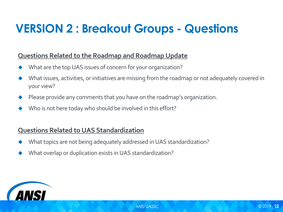### **Questions Related to the Roadmap and Roadmap Update**

- What are the top UAS issues of concern for your organization?
- What issues, activities, or initiatives are missing from the roadmap or not adequately covered in your view?
- Please provide any comments that you have on the roadmap's organization.
- Who is not here today who should be involved in this effort?

### **Questions Related to UAS Standardization**

- What topics are not being adequately addressed in UAS standardization?
- What overlap or duplication exists in UAS standardization?



# **VERSION 2 : Breakout Groups - Questions**

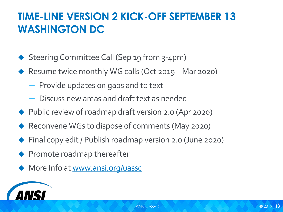

# **TIME-LINE VERSION 2 KICK-OFF SEPTEMBER 13 WASHINGTON DC**

- ◆ Steering Committee Call (Sep 19 from 3-4pm)
- ◆ Resume twice monthly WG calls (Oct 2019 Mar 2020)
	- ─ Provide updates on gaps and to text
	- ─ Discuss new areas and draft text as needed
- ◆ Public review of roadmap draft version 2.0 (Apr 2020)
- ◆ Reconvene WGs to dispose of comments (May 2020)
- ◆ Final copy edit / Publish roadmap version 2.0 (June 2020)
- ◆ Promote roadmap thereafter
- ◆ More Info at [www.ansi.org/uassc](http://www.ansi.org/uassc)

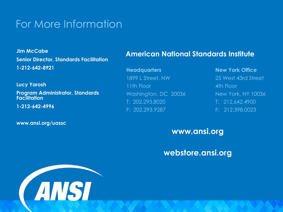## For More Information

**Headquarters New York Office** 1899 L Street, NW 25 West 43rd Street Washington, DC 20036 New York, NY 10036

### **American National Standards Institute**

11th Floor **11th Floor** T: 202.293.8020 T: 212.642.4900 F: 202.293.9287 F: 212.398.0023



### **www.ansi.org**

### **webstore.ansi.org**

**Jim McCabe Senior Director, Standards Facilitation 1-212-642-8921**

**Lucy Yarosh**

**Program Administrator, Standards Facilitation**

**1-212-642-4996**

**www.ansi.org/uassc**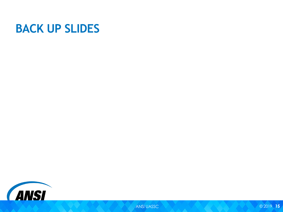

# **BACK UP SLIDES**



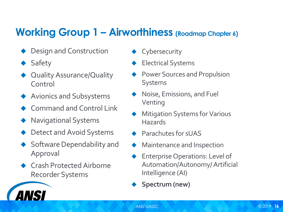# **Working Group 1 – Airworthiness (Roadmap Chapter 6)**

- Design and Construction
- **Safety**

**ANSI** 

- **Quality Assurance/Quality** Control
- ◆ Avionics and Subsystems
- **Command and Control Link**
- **Navigational Systems**
- Detect and Avoid Systems
- Software Dependability and Approval
- **Crash Protected Airborne** Recorder Systems
- ◆ Cybersecurity
- **Electrical Systems**
- **Power Sources and Propulsion** Systems
- Noise, Emissions, and Fuel Venting
- **Mitigation Systems for Various Hazards**
- ◆ Parachutes for sUAS
- Maintenance and Inspection
- **Enterprise Operations: Level of** Automation/Autonomy/ Artificial Intelligence (AI)
- Spectrum (new)

© 2019 **16**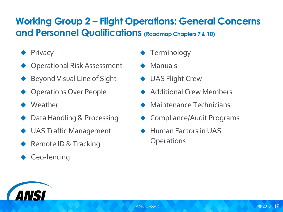## **Working Group 2 – Flight Operations: General Concerns and Personnel Qualifications (Roadmap Chapters 7 & 10)**







- 
- 
- 
- ◆ Additional Crew Members
- ◆ Maintenance Technicians
- ◆ Compliance/Audit Programs
- ◆ Human Factors in UAS
	-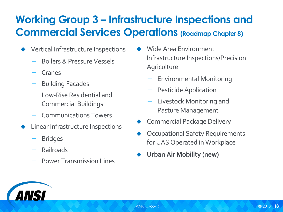# **Working Group 3 – Infrastructure Inspections and Commercial Services Operations (Roadmap Chapter 8)**

- ◆ Vertical Infrastructure Inspections
	- ─ Boilers & Pressure Vessels
	- **Cranes**
	- ─ Building Facades
	- Low-Rise Residential and Commercial Buildings
	- Communications Towers
	- **Linear Infrastructure Inspections** 
		- **Bridges**
		- **Railroads**
		- Power Transmission Lines
- **Agriculture** 
	- ─ Environmental Monitoring
	- ─ Pesticide Application
	- Livestock Monitoring and Pasture Management
- Commercial Package Delivery
- **Occupational Safety Requirements** for UAS Operated in Workplace
- **Urban Air Mobility (new)**



Wide Area Environment Infrastructure Inspections/Precision

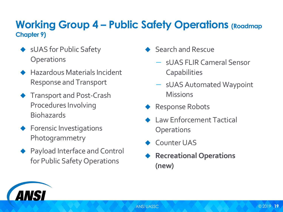## **Working Group 4 – Public Safety Operations (Roadmap Chapter 9)**

- ◆ sUAS for Public Safety **Operations**
- ◆ Hazardous Materials Incident Response and Transport
- ◆ Transport and Post-Crash Procedures Involving **Biohazards**
- ◆ Forensic Investigations Photogrammetry
- ◆ Payload Interface and Control for Public Safety Operations
- Search and Rescue
	- ─ sUAS FLIR Cameral Sensor **Capabilities** 
		-
	- ─ sUAS Automated Waypoint **Missions**
- ◆ Response Robots
- Law Enforcement Tactical **Operations**
- Counter UAS
- **Recreational Operations (new)**



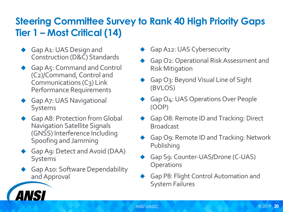## **Steering Committee Survey to Rank 40 High Priority Gaps Tier 1 – Most Critical (14)**

- Gap A1: UAS Design and Construction (D&C) Standards
- Gap A5: Command and Control (C2)/Command, Control and Communications (C3) Link Performance Requirements
- **Gap A7: UAS Navigational** Systems
- Gap A8: Protection from Global Navigation Satellite Signals (GNSS) Interference Including Spoofing and Jamming
- Gap A9: Detect and Avoid (DAA) Systems
- Gap A10: Software Dependability and Approval

**ANSI** 

- Gap A12: UAS Cybersecurity
- Gap O2: Operational Risk Assessment and Risk Mitigation
- Gap O3: Beyond Visual Line of Sight (BVLOS)
- Gap O4: UAS Operations Over People (OOP)
- Gap O8: Remote ID and Tracking: Direct Broadcast
- Gap Og: Remote ID and Tracking: Network Publishing
- Gap Sg: Counter-UAS/Drone (C-UAS) **Operations**
- ◆ Gap P8: Flight Control Automation and System Failures

© 2019 **20**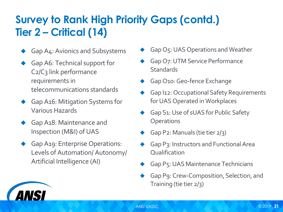# **Survey to Rank High Priority Gaps (contd.) Tier 2 – Critical (14)**

- Gap A4: Avionics and Subsystems
- Gap A6: Technical support for C<sub>2</sub>/C<sub>3</sub> link performance requirements in telecommunications standards
- Gap A16: Mitigation Systems for Various Hazards
- Gap A18: Maintenance and Inspection (M&I) of UAS

ANSI

Gap A19: Enterprise Operations: Levels of Automation/ Autonomy/ Artificial Intelligence (AI)



© 2019 **21**

- Gap O7: UTM Service Performance **Standards**
- Gap O10: Geo-fence Exchange
- Gap I12: Occupational Safety Requirements for UAS Operated in Workplaces
- Gap S1: Use of sUAS for Public Safety **Operations**
- Gap P2: Manuals (tie tier 2/3)
- Gap P3: Instructors and Functional Area **Qualification**
- Gap P5: UAS Maintenance Technicians
- Gap P9: Crew-Composition, Selection, and Training (tie tier 2/3)

Gap O5: UAS Operations and Weather